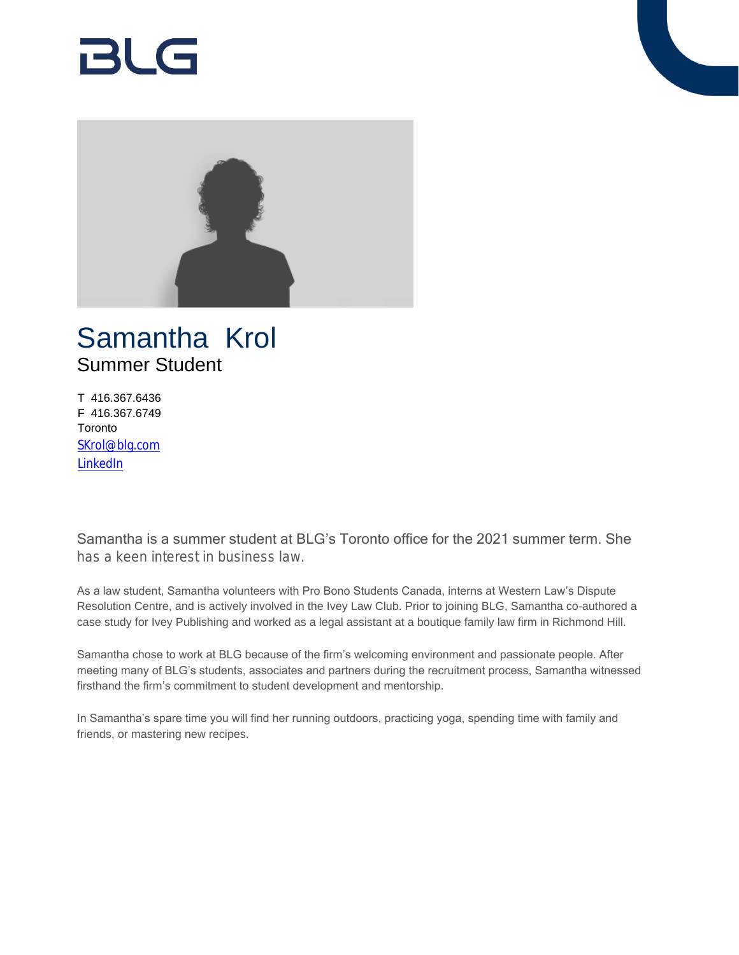# RI G



## Samantha Krol Summer Student

T 416.367.6436 F 416.367.6749 Toronto [SKrol@blg.com](mailto:SKrol@blg.com) [LinkedIn](http://ca.linkedin.com/in/samanthakrol)

Samantha is a summer student at BLG's Toronto office for the 2021 summer term. She has a keen interest in business law.

As a law student, Samantha volunteers with Pro Bono Students Canada, interns at Western Law's Dispute Resolution Centre, and is actively involved in the Ivey Law Club. Prior to joining BLG, Samantha co-authored a case study for Ivey Publishing and worked as a legal assistant at a boutique family law firm in Richmond Hill.

Samantha chose to work at BLG because of the firm's welcoming environment and passionate people. After meeting many of BLG's students, associates and partners during the recruitment process, Samantha witnessed firsthand the firm's commitment to student development and mentorship.

In Samantha's spare time you will find her running outdoors, practicing yoga, spending time with family and friends, or mastering new recipes.